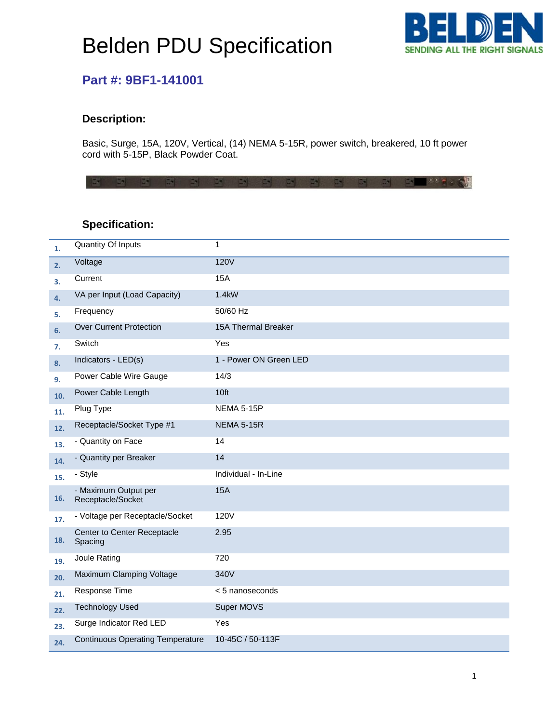# Belden PDU Specification



### **Part #: 9BF1-141001**

#### **Description:**

Basic, Surge, 15A, 120V, Vertical, (14) NEMA 5-15R, power switch, breakered, 10 ft power cord with 5-15P, Black Powder Coat.

大盟 **IBAL ANDAL AND BALLAST** 

### **Specification:**

| 1.  | Quantity Of Inputs                        | 1                      |
|-----|-------------------------------------------|------------------------|
| 2.  | Voltage                                   | <b>120V</b>            |
| З.  | Current                                   | <b>15A</b>             |
| 4.  | VA per Input (Load Capacity)              | 1.4kW                  |
| 5.  | Frequency                                 | 50/60 Hz               |
| 6.  | <b>Over Current Protection</b>            | 15A Thermal Breaker    |
| 7.  | Switch                                    | Yes                    |
| 8.  | Indicators - LED(s)                       | 1 - Power ON Green LED |
| 9.  | Power Cable Wire Gauge                    | 14/3                   |
| 10. | Power Cable Length                        | 10ft                   |
| 11. | Plug Type                                 | <b>NEMA 5-15P</b>      |
| 12. | Receptacle/Socket Type #1                 | <b>NEMA 5-15R</b>      |
| 13. | - Quantity on Face                        | 14                     |
| 14. | - Quantity per Breaker                    | 14                     |
| 15. | - Style                                   | Individual - In-Line   |
| 16. | - Maximum Output per<br>Receptacle/Socket | <b>15A</b>             |
| 17. | - Voltage per Receptacle/Socket           | <b>120V</b>            |
| 18. | Center to Center Receptacle<br>Spacing    | 2.95                   |
| 19. | Joule Rating                              | 720                    |
| 20. | Maximum Clamping Voltage                  | 340V                   |
| 21. | Response Time                             | < 5 nanoseconds        |
| 22. | <b>Technology Used</b>                    | Super MOVS             |
| 23. | Surge Indicator Red LED                   | Yes                    |
| 24. | <b>Continuous Operating Temperature</b>   | 10-45C / 50-113F       |